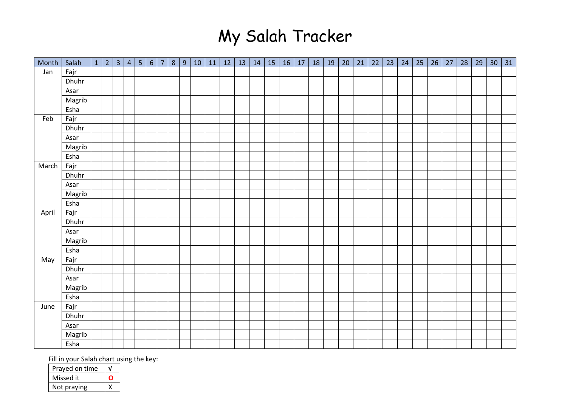## My Salah Tracker

| Month | Salah  | $1 \mid 2 \mid$ | $\overline{3}$ | 4 | 5 | $\sqrt{6}$ | 7 <sup>1</sup> | $8\phantom{1}$ | $9\,$ | 10 | 11 | 12 | 13 | 14 | 15 | 16 | 17 | 18 | 19 | 20 | 21 | 22 | 23 | 24 | 25 | 26 | 27 | 28 | 29 | 30 | 31 |
|-------|--------|-----------------|----------------|---|---|------------|----------------|----------------|-------|----|----|----|----|----|----|----|----|----|----|----|----|----|----|----|----|----|----|----|----|----|----|
| Jan   | Fajr   |                 |                |   |   |            |                |                |       |    |    |    |    |    |    |    |    |    |    |    |    |    |    |    |    |    |    |    |    |    |    |
|       | Dhuhr  |                 |                |   |   |            |                |                |       |    |    |    |    |    |    |    |    |    |    |    |    |    |    |    |    |    |    |    |    |    |    |
|       | Asar   |                 |                |   |   |            |                |                |       |    |    |    |    |    |    |    |    |    |    |    |    |    |    |    |    |    |    |    |    |    |    |
|       | Magrib |                 |                |   |   |            |                |                |       |    |    |    |    |    |    |    |    |    |    |    |    |    |    |    |    |    |    |    |    |    |    |
|       | Esha   |                 |                |   |   |            |                |                |       |    |    |    |    |    |    |    |    |    |    |    |    |    |    |    |    |    |    |    |    |    |    |
| Feb   | Fajr   |                 |                |   |   |            |                |                |       |    |    |    |    |    |    |    |    |    |    |    |    |    |    |    |    |    |    |    |    |    |    |
|       | Dhuhr  |                 |                |   |   |            |                |                |       |    |    |    |    |    |    |    |    |    |    |    |    |    |    |    |    |    |    |    |    |    |    |
|       | Asar   |                 |                |   |   |            |                |                |       |    |    |    |    |    |    |    |    |    |    |    |    |    |    |    |    |    |    |    |    |    |    |
|       | Magrib |                 |                |   |   |            |                |                |       |    |    |    |    |    |    |    |    |    |    |    |    |    |    |    |    |    |    |    |    |    |    |
|       | Esha   |                 |                |   |   |            |                |                |       |    |    |    |    |    |    |    |    |    |    |    |    |    |    |    |    |    |    |    |    |    |    |
| March | Fajr   |                 |                |   |   |            |                |                |       |    |    |    |    |    |    |    |    |    |    |    |    |    |    |    |    |    |    |    |    |    |    |
|       | Dhuhr  |                 |                |   |   |            |                |                |       |    |    |    |    |    |    |    |    |    |    |    |    |    |    |    |    |    |    |    |    |    |    |
|       | Asar   |                 |                |   |   |            |                |                |       |    |    |    |    |    |    |    |    |    |    |    |    |    |    |    |    |    |    |    |    |    |    |
|       | Magrib |                 |                |   |   |            |                |                |       |    |    |    |    |    |    |    |    |    |    |    |    |    |    |    |    |    |    |    |    |    |    |
|       | Esha   |                 |                |   |   |            |                |                |       |    |    |    |    |    |    |    |    |    |    |    |    |    |    |    |    |    |    |    |    |    |    |
| April | Fajr   |                 |                |   |   |            |                |                |       |    |    |    |    |    |    |    |    |    |    |    |    |    |    |    |    |    |    |    |    |    |    |
|       | Dhuhr  |                 |                |   |   |            |                |                |       |    |    |    |    |    |    |    |    |    |    |    |    |    |    |    |    |    |    |    |    |    |    |
|       | Asar   |                 |                |   |   |            |                |                |       |    |    |    |    |    |    |    |    |    |    |    |    |    |    |    |    |    |    |    |    |    |    |
|       | Magrib |                 |                |   |   |            |                |                |       |    |    |    |    |    |    |    |    |    |    |    |    |    |    |    |    |    |    |    |    |    |    |
|       | Esha   |                 |                |   |   |            |                |                |       |    |    |    |    |    |    |    |    |    |    |    |    |    |    |    |    |    |    |    |    |    |    |
| May   | Fajr   |                 |                |   |   |            |                |                |       |    |    |    |    |    |    |    |    |    |    |    |    |    |    |    |    |    |    |    |    |    |    |
|       | Dhuhr  |                 |                |   |   |            |                |                |       |    |    |    |    |    |    |    |    |    |    |    |    |    |    |    |    |    |    |    |    |    |    |
|       | Asar   |                 |                |   |   |            |                |                |       |    |    |    |    |    |    |    |    |    |    |    |    |    |    |    |    |    |    |    |    |    |    |
|       | Magrib |                 |                |   |   |            |                |                |       |    |    |    |    |    |    |    |    |    |    |    |    |    |    |    |    |    |    |    |    |    |    |
|       | Esha   |                 |                |   |   |            |                |                |       |    |    |    |    |    |    |    |    |    |    |    |    |    |    |    |    |    |    |    |    |    |    |
| June  | Fajr   |                 |                |   |   |            |                |                |       |    |    |    |    |    |    |    |    |    |    |    |    |    |    |    |    |    |    |    |    |    |    |
|       | Dhuhr  |                 |                |   |   |            |                |                |       |    |    |    |    |    |    |    |    |    |    |    |    |    |    |    |    |    |    |    |    |    |    |
|       | Asar   |                 |                |   |   |            |                |                |       |    |    |    |    |    |    |    |    |    |    |    |    |    |    |    |    |    |    |    |    |    |    |
|       | Magrib |                 |                |   |   |            |                |                |       |    |    |    |    |    |    |    |    |    |    |    |    |    |    |    |    |    |    |    |    |    |    |
|       | Esha   |                 |                |   |   |            |                |                |       |    |    |    |    |    |    |    |    |    |    |    |    |    |    |    |    |    |    |    |    |    |    |

Fill in your Salah chart using the key:

| Prayed on time |  |
|----------------|--|
| Missed it      |  |
| Not praying    |  |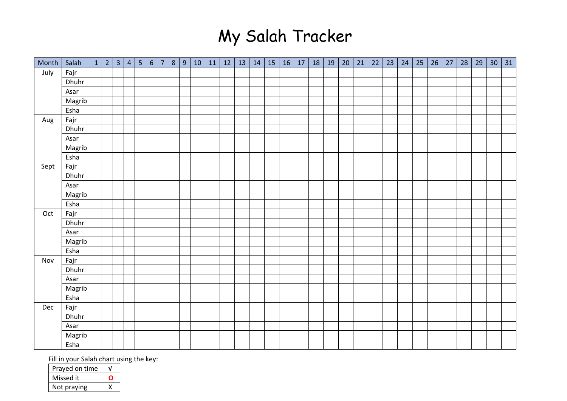## My Salah Tracker

| Month | Salah  | $1 \mid 2$ | $\overline{3}$ | $\vert 4 \vert$ | 5 | $\sqrt{6}$ | 7 <sup>1</sup> | $8\phantom{1}$ | 9 | 10 | 11 | 12 | 13 | 14 | 15 | 16 | 17 | 18 | 19 | 20 | 21 | 22 | 23 | 24 | 25 | 26 | 27 | 28 | 29 | 30 <sup>°</sup> | 31 |
|-------|--------|------------|----------------|-----------------|---|------------|----------------|----------------|---|----|----|----|----|----|----|----|----|----|----|----|----|----|----|----|----|----|----|----|----|-----------------|----|
| July  | Fajr   |            |                |                 |   |            |                |                |   |    |    |    |    |    |    |    |    |    |    |    |    |    |    |    |    |    |    |    |    |                 |    |
|       | Dhuhr  |            |                |                 |   |            |                |                |   |    |    |    |    |    |    |    |    |    |    |    |    |    |    |    |    |    |    |    |    |                 |    |
|       | Asar   |            |                |                 |   |            |                |                |   |    |    |    |    |    |    |    |    |    |    |    |    |    |    |    |    |    |    |    |    |                 |    |
|       | Magrib |            |                |                 |   |            |                |                |   |    |    |    |    |    |    |    |    |    |    |    |    |    |    |    |    |    |    |    |    |                 |    |
|       | Esha   |            |                |                 |   |            |                |                |   |    |    |    |    |    |    |    |    |    |    |    |    |    |    |    |    |    |    |    |    |                 |    |
| Aug   | Fajr   |            |                |                 |   |            |                |                |   |    |    |    |    |    |    |    |    |    |    |    |    |    |    |    |    |    |    |    |    |                 |    |
|       | Dhuhr  |            |                |                 |   |            |                |                |   |    |    |    |    |    |    |    |    |    |    |    |    |    |    |    |    |    |    |    |    |                 |    |
|       | Asar   |            |                |                 |   |            |                |                |   |    |    |    |    |    |    |    |    |    |    |    |    |    |    |    |    |    |    |    |    |                 |    |
|       | Magrib |            |                |                 |   |            |                |                |   |    |    |    |    |    |    |    |    |    |    |    |    |    |    |    |    |    |    |    |    |                 |    |
|       | Esha   |            |                |                 |   |            |                |                |   |    |    |    |    |    |    |    |    |    |    |    |    |    |    |    |    |    |    |    |    |                 |    |
| Sept  | Fajr   |            |                |                 |   |            |                |                |   |    |    |    |    |    |    |    |    |    |    |    |    |    |    |    |    |    |    |    |    |                 |    |
|       | Dhuhr  |            |                |                 |   |            |                |                |   |    |    |    |    |    |    |    |    |    |    |    |    |    |    |    |    |    |    |    |    |                 |    |
|       | Asar   |            |                |                 |   |            |                |                |   |    |    |    |    |    |    |    |    |    |    |    |    |    |    |    |    |    |    |    |    |                 |    |
|       | Magrib |            |                |                 |   |            |                |                |   |    |    |    |    |    |    |    |    |    |    |    |    |    |    |    |    |    |    |    |    |                 |    |
|       | Esha   |            |                |                 |   |            |                |                |   |    |    |    |    |    |    |    |    |    |    |    |    |    |    |    |    |    |    |    |    |                 |    |
| Oct   | Fajr   |            |                |                 |   |            |                |                |   |    |    |    |    |    |    |    |    |    |    |    |    |    |    |    |    |    |    |    |    |                 |    |
|       | Dhuhr  |            |                |                 |   |            |                |                |   |    |    |    |    |    |    |    |    |    |    |    |    |    |    |    |    |    |    |    |    |                 |    |
|       | Asar   |            |                |                 |   |            |                |                |   |    |    |    |    |    |    |    |    |    |    |    |    |    |    |    |    |    |    |    |    |                 |    |
|       | Magrib |            |                |                 |   |            |                |                |   |    |    |    |    |    |    |    |    |    |    |    |    |    |    |    |    |    |    |    |    |                 |    |
|       | Esha   |            |                |                 |   |            |                |                |   |    |    |    |    |    |    |    |    |    |    |    |    |    |    |    |    |    |    |    |    |                 |    |
| Nov   | Fajr   |            |                |                 |   |            |                |                |   |    |    |    |    |    |    |    |    |    |    |    |    |    |    |    |    |    |    |    |    |                 |    |
|       | Dhuhr  |            |                |                 |   |            |                |                |   |    |    |    |    |    |    |    |    |    |    |    |    |    |    |    |    |    |    |    |    |                 |    |
|       | Asar   |            |                |                 |   |            |                |                |   |    |    |    |    |    |    |    |    |    |    |    |    |    |    |    |    |    |    |    |    |                 |    |
|       | Magrib |            |                |                 |   |            |                |                |   |    |    |    |    |    |    |    |    |    |    |    |    |    |    |    |    |    |    |    |    |                 |    |
|       | Esha   |            |                |                 |   |            |                |                |   |    |    |    |    |    |    |    |    |    |    |    |    |    |    |    |    |    |    |    |    |                 |    |
| Dec   | Fajr   |            |                |                 |   |            |                |                |   |    |    |    |    |    |    |    |    |    |    |    |    |    |    |    |    |    |    |    |    |                 |    |
|       | Dhuhr  |            |                |                 |   |            |                |                |   |    |    |    |    |    |    |    |    |    |    |    |    |    |    |    |    |    |    |    |    |                 |    |
|       | Asar   |            |                |                 |   |            |                |                |   |    |    |    |    |    |    |    |    |    |    |    |    |    |    |    |    |    |    |    |    |                 |    |
|       | Magrib |            |                |                 |   |            |                |                |   |    |    |    |    |    |    |    |    |    |    |    |    |    |    |    |    |    |    |    |    |                 |    |
|       | Esha   |            |                |                 |   |            |                |                |   |    |    |    |    |    |    |    |    |    |    |    |    |    |    |    |    |    |    |    |    |                 |    |

Fill in your Salah chart using the key:

| Prayed on time |  |
|----------------|--|
| Missed it      |  |
| Not praying    |  |